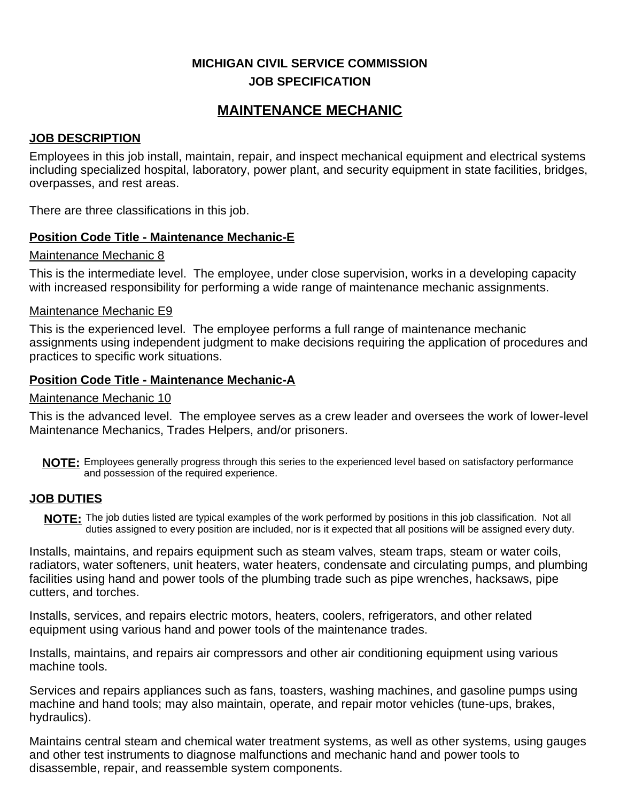# **MICHIGAN CIVIL SERVICE COMMISSION JOB SPECIFICATION**

# **MAINTENANCE MECHANIC**

#### **JOB DESCRIPTION**

Employees in this job install, maintain, repair, and inspect mechanical equipment and electrical systems including specialized hospital, laboratory, power plant, and security equipment in state facilities, bridges, overpasses, and rest areas.

There are three classifications in this job.

#### **Position Code Title - Maintenance Mechanic-E**

#### Maintenance Mechanic 8

This is the intermediate level. The employee, under close supervision, works in a developing capacity with increased responsibility for performing a wide range of maintenance mechanic assignments.

#### Maintenance Mechanic E9

This is the experienced level. The employee performs a full range of maintenance mechanic assignments using independent judgment to make decisions requiring the application of procedures and practices to specific work situations.

#### **Position Code Title - Maintenance Mechanic-A**

#### Maintenance Mechanic 10

This is the advanced level. The employee serves as a crew leader and oversees the work of lower-level Maintenance Mechanics, Trades Helpers, and/or prisoners.

NOTE: Employees generally progress through this series to the experienced level based on satisfactory performance and possession of the required experience.

#### **JOB DUTIES**

**NOTE:** The job duties listed are typical examples of the work performed by positions in this job classification. Not all duties assigned to every position are included, nor is it expected that all positions will be assigned every duty.

Installs, maintains, and repairs equipment such as steam valves, steam traps, steam or water coils, radiators, water softeners, unit heaters, water heaters, condensate and circulating pumps, and plumbing facilities using hand and power tools of the plumbing trade such as pipe wrenches, hacksaws, pipe cutters, and torches.

Installs, services, and repairs electric motors, heaters, coolers, refrigerators, and other related equipment using various hand and power tools of the maintenance trades.

Installs, maintains, and repairs air compressors and other air conditioning equipment using various machine tools.

Services and repairs appliances such as fans, toasters, washing machines, and gasoline pumps using machine and hand tools; may also maintain, operate, and repair motor vehicles (tune-ups, brakes, hydraulics).

Maintains central steam and chemical water treatment systems, as well as other systems, using gauges and other test instruments to diagnose malfunctions and mechanic hand and power tools to disassemble, repair, and reassemble system components.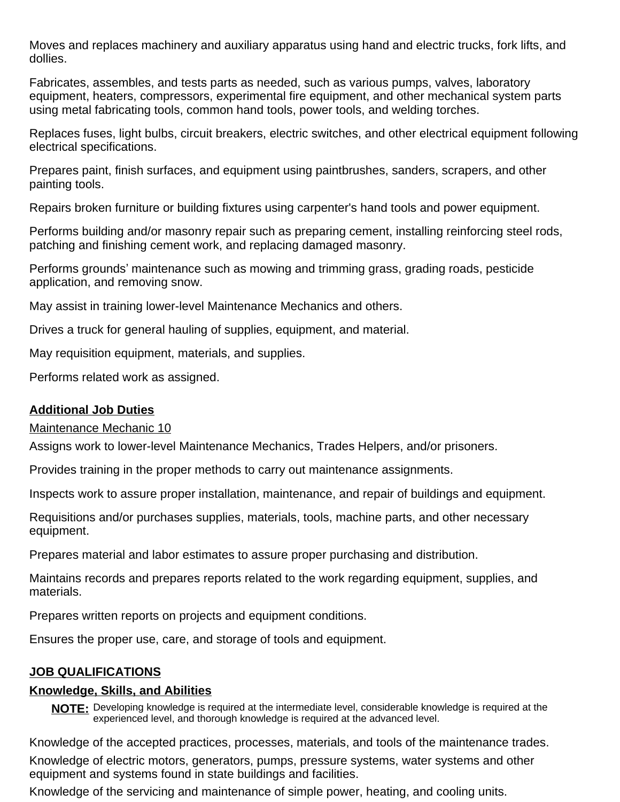Moves and replaces machinery and auxiliary apparatus using hand and electric trucks, fork lifts, and dollies.

Fabricates, assembles, and tests parts as needed, such as various pumps, valves, laboratory equipment, heaters, compressors, experimental fire equipment, and other mechanical system parts using metal fabricating tools, common hand tools, power tools, and welding torches.

Replaces fuses, light bulbs, circuit breakers, electric switches, and other electrical equipment following electrical specifications.

Prepares paint, finish surfaces, and equipment using paintbrushes, sanders, scrapers, and other painting tools.

Repairs broken furniture or building fixtures using carpenter's hand tools and power equipment.

Performs building and/or masonry repair such as preparing cement, installing reinforcing steel rods, patching and finishing cement work, and replacing damaged masonry.

Performs grounds' maintenance such as mowing and trimming grass, grading roads, pesticide application, and removing snow.

May assist in training lower-level Maintenance Mechanics and others.

Drives a truck for general hauling of supplies, equipment, and material.

May requisition equipment, materials, and supplies.

Performs related work as assigned.

# **Additional Job Duties**

Maintenance Mechanic 10

Assigns work to lower-level Maintenance Mechanics, Trades Helpers, and/or prisoners.

Provides training in the proper methods to carry out maintenance assignments.

Inspects work to assure proper installation, maintenance, and repair of buildings and equipment.

Requisitions and/or purchases supplies, materials, tools, machine parts, and other necessary equipment.

Prepares material and labor estimates to assure proper purchasing and distribution.

Maintains records and prepares reports related to the work regarding equipment, supplies, and materials.

Prepares written reports on projects and equipment conditions.

Ensures the proper use, care, and storage of tools and equipment.

# **JOB QUALIFICATIONS**

# **Knowledge, Skills, and Abilities**

**NOTE:** Developing knowledge is required at the intermediate level, considerable knowledge is required at the experienced level, and thorough knowledge is required at the advanced level.

Knowledge of the accepted practices, processes, materials, and tools of the maintenance trades.

Knowledge of electric motors, generators, pumps, pressure systems, water systems and other equipment and systems found in state buildings and facilities.

Knowledge of the servicing and maintenance of simple power, heating, and cooling units.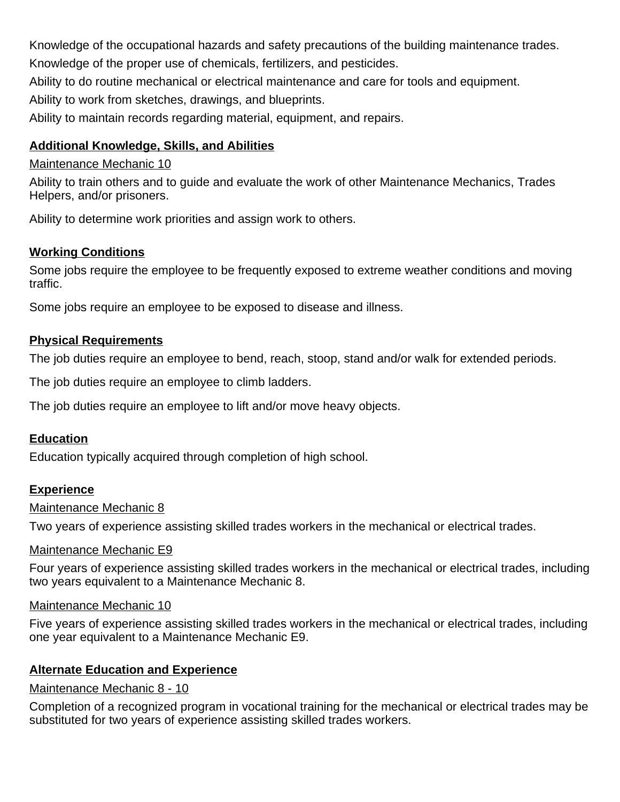Knowledge of the occupational hazards and safety precautions of the building maintenance trades. Knowledge of the proper use of chemicals, fertilizers, and pesticides.

Ability to do routine mechanical or electrical maintenance and care for tools and equipment.

Ability to work from sketches, drawings, and blueprints.

Ability to maintain records regarding material, equipment, and repairs.

# **Additional Knowledge, Skills, and Abilities**

# Maintenance Mechanic 10

Ability to train others and to guide and evaluate the work of other Maintenance Mechanics, Trades Helpers, and/or prisoners.

Ability to determine work priorities and assign work to others.

# **Working Conditions**

Some jobs require the employee to be frequently exposed to extreme weather conditions and moving traffic.

Some jobs require an employee to be exposed to disease and illness.

# **Physical Requirements**

The job duties require an employee to bend, reach, stoop, stand and/or walk for extended periods.

The job duties require an employee to climb ladders.

The job duties require an employee to lift and/or move heavy objects.

# **Education**

Education typically acquired through completion of high school.

# **Experience**

#### Maintenance Mechanic 8

Two years of experience assisting skilled trades workers in the mechanical or electrical trades.

# Maintenance Mechanic E9

Four years of experience assisting skilled trades workers in the mechanical or electrical trades, including two years equivalent to a Maintenance Mechanic 8.

#### Maintenance Mechanic 10

Five years of experience assisting skilled trades workers in the mechanical or electrical trades, including one year equivalent to a Maintenance Mechanic E9.

# **Alternate Education and Experience**

# Maintenance Mechanic 8 - 10

Completion of a recognized program in vocational training for the mechanical or electrical trades may be substituted for two years of experience assisting skilled trades workers.